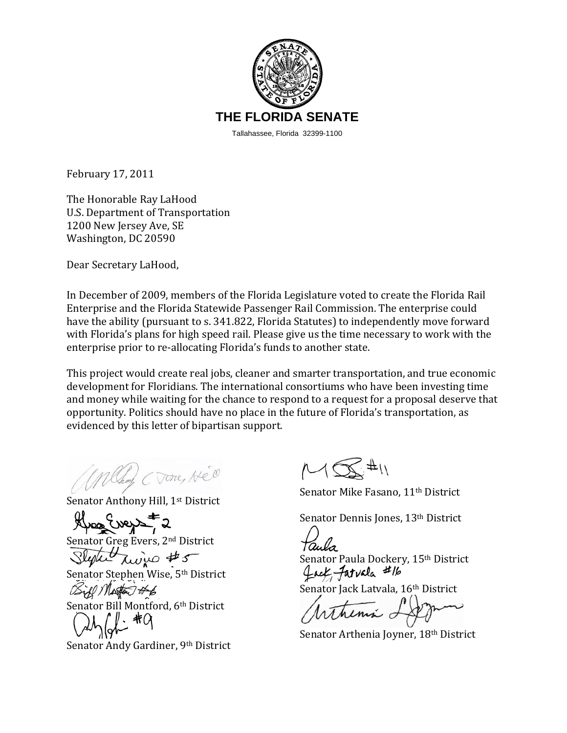

February 17, 2011

The Honorable Ray LaHood U.S. Department of Transportation 1200 New Jersey Ave, SE Washington, DC 20590

Dear Secretary LaHood,

In December of 2009, members of the Florida Legislature voted to create the Florida Rail Enterprise and the Florida Statewide Passenger Rail Commission. The enterprise could have the ability (pursuant to s. 341.822, Florida Statutes) to independently move forward with Florida's plans for high speed rail. Please give us the time necessary to work with the enterprise prior to re‐allocating Florida's funds to another state.

This project would create real jobs, cleaner and smarter transportation, and true economic development for Floridians. The international consortiums who have been investing time and money while waiting for the chance to respond to a request for a proposal deserve that pportunity. Politics should have no place in the future of Florida's transportation, as o evidenced by this letter of bipartisan support.

Chang (Vone, HEO

Senator Anthony Hill, 1<sup>st</sup> District

a Evers

Senator Greg Evers, 2nd District

 $\chi$ wive #5

Senator Stephen Wise, 5th District

Senator Bill Montford, 6th District

Senator Andy Gardiner, 9th District

 $M\bigotimes^{\#}$ 

Senator Mike Fasano, 11th District

Senator Dennis Jones, 13th District

Senator Paula Dockery, 15<sup>th</sup> District fact faturla #16

Senator Jack Latvala, 16th District

Senator Arthenia Joyner, 18<sup>th</sup> District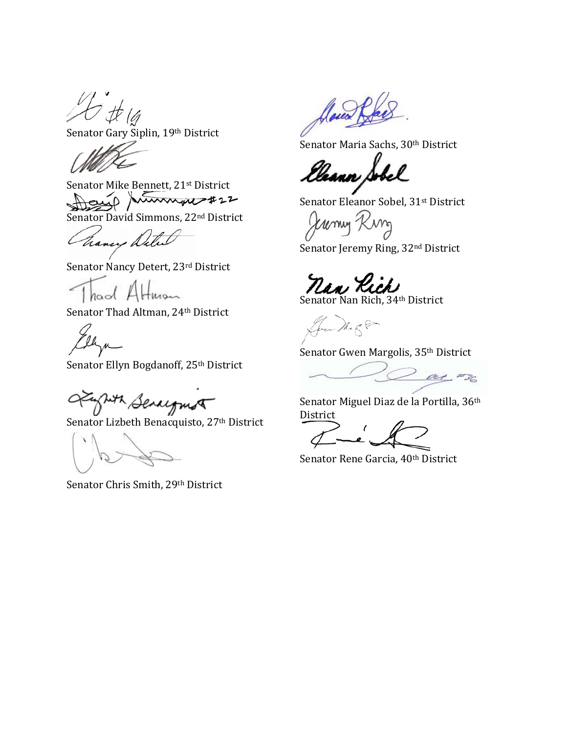t (4

Senator Gary Siplin, 19th District

Senator Mike Bennett, 21st District mmpt#22

Senator David Simmons, 22nd District

hancy Detect

Senator Nancy Detert, 23rd District

naol A

Senator Thad Altman, 24th District

lh

Senator Ellyn Bogdanoff, 25<sup>th</sup> District

Juth Senegant

Senator Lizbeth Benacquisto, 27<sup>th</sup> District

Senator Chris Smith, 29th District

laves

Senator Maria Sachs, 30th District

Usann ,

Senator Eleanor Sobel, 31st District

umy

Senator Jeremy Ring, 32<sup>nd</sup> District

nan Rich

Green Mager

Senator Gwen Margolis, 35<sup>th</sup> District

ar #36

Senator Miguel Diaz de la Portilla, 36th District

Senator Rene Garcia, 40<sup>th</sup> District